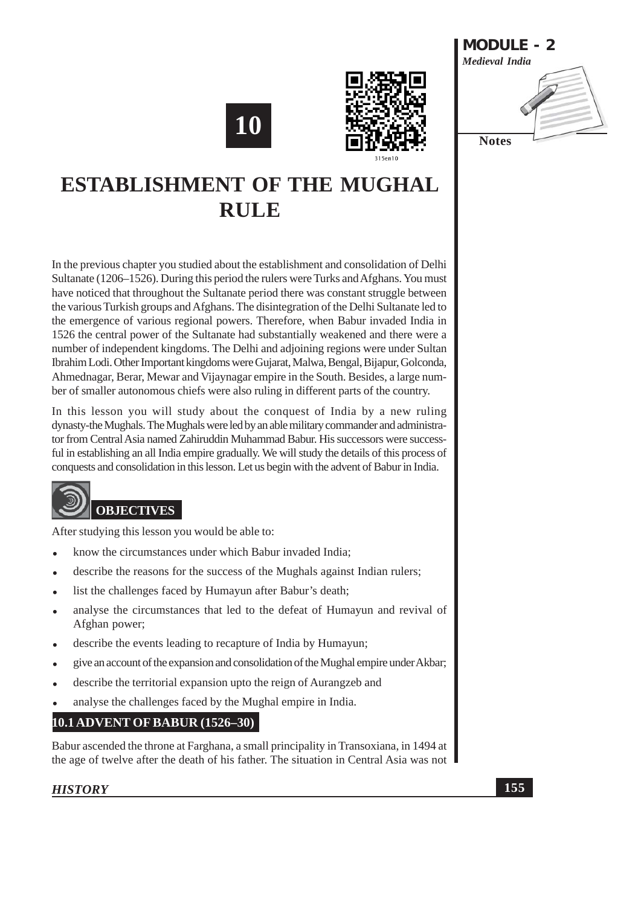





# **ESTABLISHMENT OF THE MUGHAL RULE**

In the previous chapter you studied about the establishment and consolidation of Delhi Sultanate (1206–1526). During this period the rulers were Turks and Afghans. You must have noticed that throughout the Sultanate period there was constant struggle between the various Turkish groups and Afghans. The disintegration of the Delhi Sultanate led to the emergence of various regional powers. Therefore, when Babur invaded India in 1526 the central power of the Sultanate had substantially weakened and there were a number of independent kingdoms. The Delhi and adjoining regions were under Sultan Ibrahim Lodi. Other Important kingdoms were Gujarat, Malwa, Bengal, Bijapur, Golconda, Ahmednagar, Berar, Mewar and Vijaynagar empire in the South. Besides, a large number of smaller autonomous chiefs were also ruling in different parts of the country.

In this lesson you will study about the conquest of India by a new ruling dynasty-the Mughals. The Mughals were led by an able military commander and administrator from Central Asia named Zahiruddin Muhammad Babur. His successors were successful in establishing an all India empire gradually. We will study the details of this process of conquests and consolidation in this lesson. Let us begin with the advent of Babur in India.



After studying this lesson you would be able to:

- know the circumstances under which Babur invaded India;
- describe the reasons for the success of the Mughals against Indian rulers;
- list the challenges faced by Humayun after Babur's death;
- analyse the circumstances that led to the defeat of Humayun and revival of Afghan power;
- describe the events leading to recapture of India by Humayun;
- give an account of the expansion and consolidation of the Mughal empire under Akbar;
- describe the territorial expansion upto the reign of Aurangzeb and
- analyse the challenges faced by the Mughal empire in India.

# **10.1 ADVENT OF BABUR (1526–30)**

Babur ascended the throne at Farghana, a small principality in Transoxiana, in 1494 at the age of twelve after the death of his father. The situation in Central Asia was not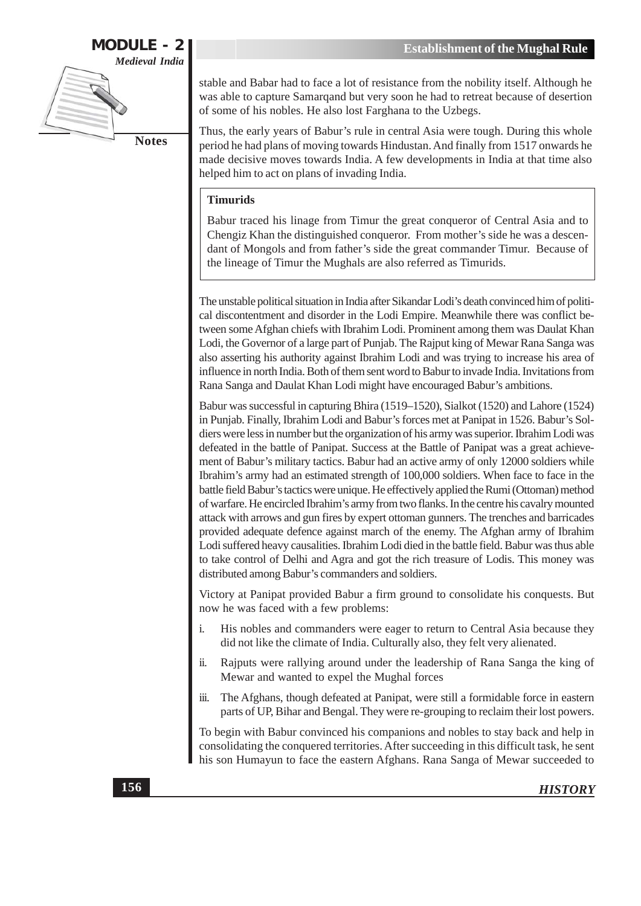

stable and Babar had to face a lot of resistance from the nobility itself. Although he was able to capture Samarqand but very soon he had to retreat because of desertion of some of his nobles. He also lost Farghana to the Uzbegs.

Thus, the early years of Babur's rule in central Asia were tough. During this whole period he had plans of moving towards Hindustan. And finally from 1517 onwards he made decisive moves towards India. A few developments in India at that time also helped him to act on plans of invading India.

#### **Timurids**

Babur traced his linage from Timur the great conqueror of Central Asia and to Chengiz Khan the distinguished conqueror. From mother's side he was a descendant of Mongols and from father's side the great commander Timur. Because of the lineage of Timur the Mughals are also referred as Timurids.

The unstable political situation in India after Sikandar Lodi's death convinced him of political discontentment and disorder in the Lodi Empire. Meanwhile there was conflict between some Afghan chiefs with Ibrahim Lodi. Prominent among them was Daulat Khan Lodi, the Governor of a large part of Punjab. The Rajput king of Mewar Rana Sanga was also asserting his authority against Ibrahim Lodi and was trying to increase his area of influence in north India. Both of them sent word to Babur to invade India. Invitations from Rana Sanga and Daulat Khan Lodi might have encouraged Babur's ambitions.

Babur was successful in capturing Bhira (1519–1520), Sialkot (1520) and Lahore (1524) in Punjab. Finally, Ibrahim Lodi and Babur's forces met at Panipat in 1526. Babur's Soldiers were less in number but the organization of his army was superior. Ibrahim Lodi was defeated in the battle of Panipat. Success at the Battle of Panipat was a great achievement of Babur's military tactics. Babur had an active army of only 12000 soldiers while Ibrahim's army had an estimated strength of 100,000 soldiers. When face to face in the battle field Babur's tactics were unique. He effectively applied the Rumi (Ottoman) method of warfare. He encircled Ibrahim's army from two flanks. In the centre his cavalry mounted attack with arrows and gun fires by expert ottoman gunners. The trenches and barricades provided adequate defence against march of the enemy. The Afghan army of Ibrahim Lodi suffered heavy causalities. Ibrahim Lodi died in the battle field. Babur was thus able to take control of Delhi and Agra and got the rich treasure of Lodis. This money was distributed among Babur's commanders and soldiers.

Victory at Panipat provided Babur a firm ground to consolidate his conquests. But now he was faced with a few problems:

- $\mathbf{i}$ . His nobles and commanders were eager to return to Central Asia because they did not like the climate of India. Culturally also, they felt very alienated.
- Rajputs were rallying around under the leadership of Rana Sanga the king of ii. Mewar and wanted to expel the Mughal forces
- The Afghans, though defeated at Panipat, were still a formidable force in eastern iii. parts of UP, Bihar and Bengal. They were re-grouping to reclaim their lost powers.

To begin with Babur convinced his companions and nobles to stay back and help in consolidating the conquered territories. After succeeding in this difficult task, he sent his son Humayun to face the eastern Afghans. Rana Sanga of Mewar succeeded to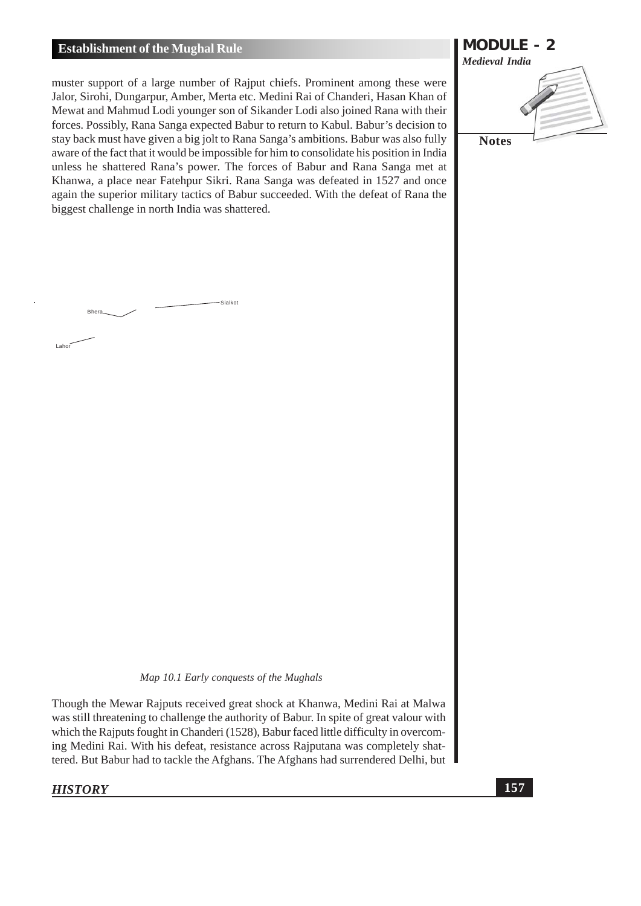#### **Establishment of the Mughal Rule**

Bhera.

 $l$  aho

muster support of a large number of Rajput chiefs. Prominent among these were Jalor, Sirohi, Dungarpur, Amber, Merta etc. Medini Rai of Chanderi, Hasan Khan of Mewat and Mahmud Lodi younger son of Sikander Lodi also joined Rana with their forces. Possibly, Rana Sanga expected Babur to return to Kabul. Babur's decision to stay back must have given a big jolt to Rana Sanga's ambitions. Babur was also fully aware of the fact that it would be impossible for him to consolidate his position in India unless he shattered Rana's power. The forces of Babur and Rana Sanga met at Khanwa, a place near Fatehpur Sikri. Rana Sanga was defeated in 1527 and once again the superior military tactics of Babur succeeded. With the defeat of Rana the biggest challenge in north India was shattered.

-Sialkot



Map 10.1 Early conquests of the Mughals

Though the Mewar Rajputs received great shock at Khanwa, Medini Rai at Malwa was still threatening to challenge the authority of Babur. In spite of great valour with which the Rajputs fought in Chanderi (1528), Babur faced little difficulty in overcoming Medini Rai. With his defeat, resistance across Rajputana was completely shattered. But Babur had to tackle the Afghans. The Afghans had surrendered Delhi, but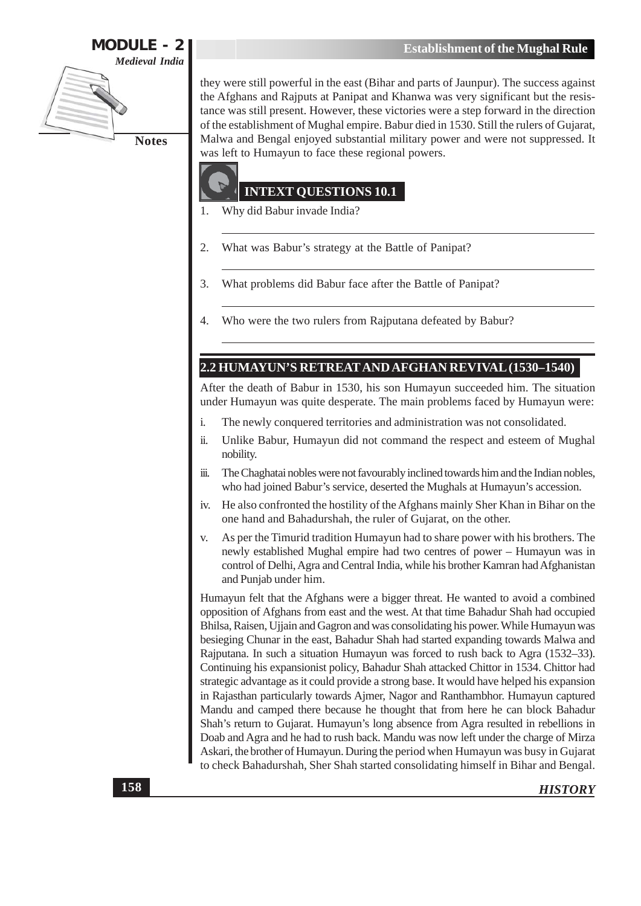

they were still powerful in the east (Bihar and parts of Jaunpur). The success against the Afghans and Rajputs at Panipat and Khanwa was very significant but the resistance was still present. However, these victories were a step forward in the direction of the establishment of Mughal empire. Babur died in 1530. Still the rulers of Gujarat, Malwa and Bengal enjoyed substantial military power and were not suppressed. It was left to Humayun to face these regional powers.



#### **INTEXT QUESTIONS 10.1**

- Why did Babur invade India? 1.
- What was Babur's strategy at the Battle of Panipat? 2.
- What problems did Babur face after the Battle of Panipat? 3.
- Who were the two rulers from Rajputana defeated by Babur?  $\overline{4}$ .

#### 2.2 HUMAYUN'S RETREAT AND AFGHAN REVIVAL (1530-1540)

After the death of Babur in 1530, his son Humayun succeeded him. The situation under Humayun was quite desperate. The main problems faced by Humayun were:

- The newly conquered territories and administration was not consolidated. i.
- ii. Unlike Babur, Humayun did not command the respect and esteem of Mughal nobility.
- The Chaghatai nobles were not favourably inclined towards him and the Indian nobles, iii. who had joined Babur's service, deserted the Mughals at Humayun's accession.
- He also confronted the hostility of the Afghans mainly Sher Khan in Bihar on the iv. one hand and Bahadurshah, the ruler of Gujarat, on the other.
- As per the Timurid tradition Humayun had to share power with his brothers. The  $V_{\cdot}$ newly established Mughal empire had two centres of power – Humayun was in control of Delhi, Agra and Central India, while his brother Kamran had Afghanistan and Punjab under him.

Humayun felt that the Afghans were a bigger threat. He wanted to avoid a combined opposition of Afghans from east and the west. At that time Bahadur Shah had occupied Bhilsa, Raisen, Ujjain and Gagron and was consolidating his power. While Humayun was besieging Chunar in the east, Bahadur Shah had started expanding towards Malwa and Rajputana. In such a situation Humayun was forced to rush back to Agra (1532–33). Continuing his expansionist policy, Bahadur Shah attacked Chittor in 1534. Chittor had strategic advantage as it could provide a strong base. It would have helped his expansion in Rajasthan particularly towards Ajmer, Nagor and Ranthambhor. Humayun captured Mandu and camped there because he thought that from here he can block Bahadur Shah's return to Gujarat. Humayun's long absence from Agra resulted in rebellions in Doab and Agra and he had to rush back. Mandu was now left under the charge of Mirza Askari, the brother of Humayun. During the period when Humayun was busy in Gujarat to check Bahadurshah, Sher Shah started consolidating himself in Bihar and Bengal.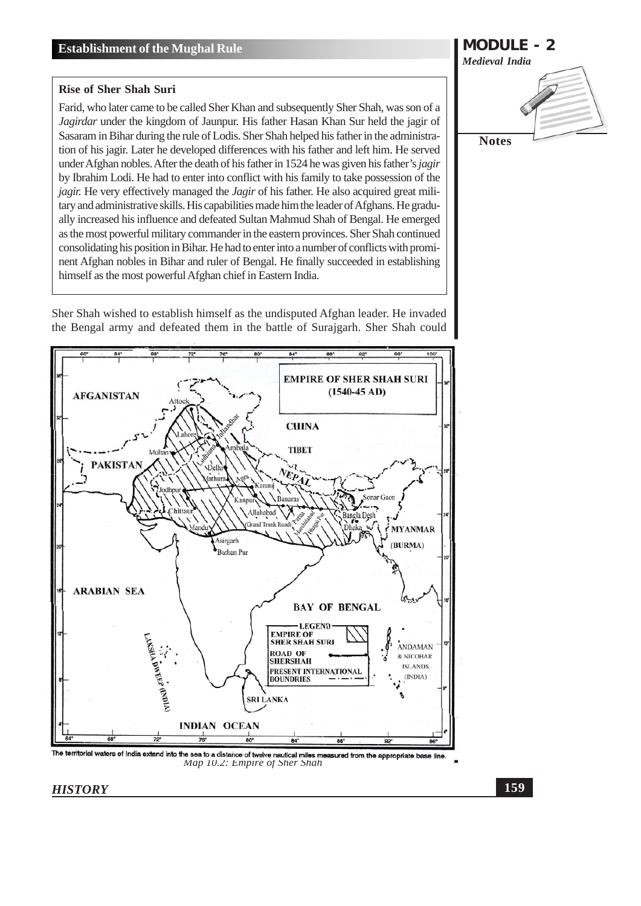#### **Rise of Sher Shah Suri**

Farid, who later came to be called Sher Khan and subsequently Sher Shah, was son of a Jagirdar under the kingdom of Jaunpur. His father Hasan Khan Sur held the jagir of Sasaram in Bihar during the rule of Lodis. Sher Shah helped his father in the administration of his jagir. Later he developed differences with his father and left him. He served under Afghan nobles. After the death of his father in 1524 he was given his father's jagir by Ibrahim Lodi. He had to enter into conflict with his family to take possession of the jagir. He very effectively managed the Jagir of his father. He also acquired great military and administrative skills. His capabilities made him the leader of Afghans. He gradually increased his influence and defeated Sultan Mahmud Shah of Bengal. He emerged as the most powerful military commander in the eastern provinces. Sher Shah continued consolidating his position in Bihar. He had to enter into a number of conflicts with prominent Afghan nobles in Bihar and ruler of Bengal. He finally succeeded in establishing himself as the most powerful Afghan chief in Eastern India.







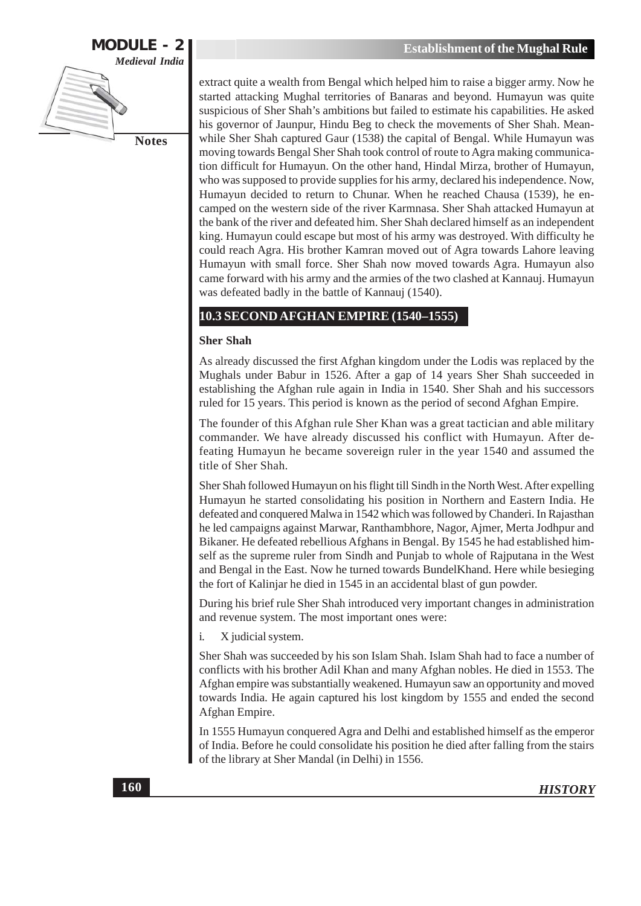

extract quite a wealth from Bengal which helped him to raise a bigger army. Now he started attacking Mughal territories of Banaras and beyond. Humayun was quite suspicious of Sher Shah's ambitions but failed to estimate his capabilities. He asked his governor of Jaunpur, Hindu Beg to check the movements of Sher Shah. Meanwhile Sher Shah captured Gaur (1538) the capital of Bengal. While Humayun was moving towards Bengal Sher Shah took control of route to Agra making communication difficult for Humayun. On the other hand, Hindal Mirza, brother of Humayun, who was supposed to provide supplies for his army, declared his independence. Now, Humayun decided to return to Chunar. When he reached Chausa (1539), he encamped on the western side of the river Karmnasa. Sher Shah attacked Humayun at the bank of the river and defeated him. Sher Shah declared himself as an independent king. Humayun could escape but most of his army was destroyed. With difficulty he could reach Agra. His brother Kamran moved out of Agra towards Lahore leaving Humayun with small force. Sher Shah now moved towards Agra. Humayun also came forward with his army and the armies of the two clashed at Kannauj. Humayun was defeated badly in the battle of Kannauj (1540).

## **10.3 SECOND AFGHAN EMPIRE (1540-1555)**

#### **Sher Shah**

As already discussed the first Afghan kingdom under the Lodis was replaced by the Mughals under Babur in 1526. After a gap of 14 years Sher Shah succeeded in establishing the Afghan rule again in India in 1540. Sher Shah and his successors ruled for 15 years. This period is known as the period of second Afghan Empire.

The founder of this Afghan rule Sher Khan was a great tactician and able military commander. We have already discussed his conflict with Humayun. After defeating Humayun he became sovereign ruler in the year 1540 and assumed the title of Sher Shah.

Sher Shah followed Humayun on his flight till Sindh in the North West. After expelling Humayun he started consolidating his position in Northern and Eastern India. He defeated and conquered Malwa in 1542 which was followed by Chanderi. In Rajasthan he led campaigns against Marwar, Ranthambhore, Nagor, Ajmer, Merta Jodhpur and Bikaner. He defeated rebellious Afghans in Bengal. By 1545 he had established himself as the supreme ruler from Sindh and Punjab to whole of Rajputana in the West and Bengal in the East. Now he turned towards BundelKhand. Here while besieging the fort of Kalinjar he died in 1545 in an accidental blast of gun powder.

During his brief rule Sher Shah introduced very important changes in administration and revenue system. The most important ones were:

i. X judicial system.

Sher Shah was succeeded by his son Islam Shah. Islam Shah had to face a number of conflicts with his brother Adil Khan and many Afghan nobles. He died in 1553. The Afghan empire was substantially weakened. Humayun saw an opportunity and moved towards India. He again captured his lost kingdom by 1555 and ended the second Afghan Empire.

In 1555 Humayun conquered Agra and Delhi and established himself as the emperor of India. Before he could consolidate his position he died after falling from the stairs of the library at Sher Mandal (in Delhi) in 1556.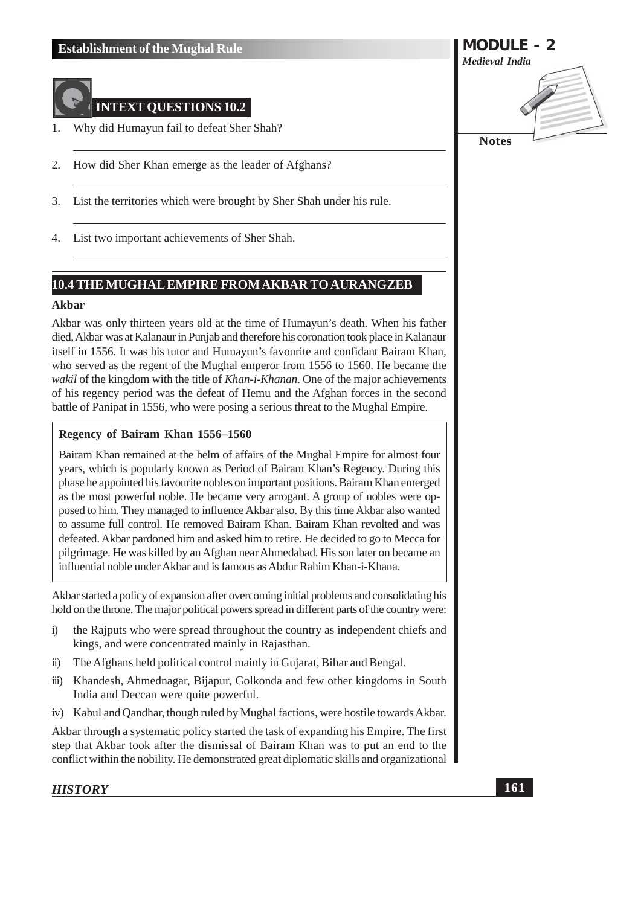

## **INTEXT OUESTIONS 10.2**

- Why did Humayun fail to defeat Sher Shah?  $\mathbf{1}$
- 2. How did Sher Khan emerge as the leader of Afghans?
- 3. List the territories which were brought by Sher Shah under his rule.
- List two important achievements of Sher Shah. 4.

## **10.4 THE MUGHAL EMPIRE FROM AKBAR TO AURANGZEB**

#### Akbar

Akbar was only thirteen years old at the time of Humayun's death. When his father died, Akbar was at Kalanaur in Punjab and therefore his coronation took place in Kalanaur itself in 1556. It was his tutor and Humayun's favourite and confidant Bairam Khan, who served as the regent of the Mughal emperor from 1556 to 1560. He became the wakil of the kingdom with the title of Khan-i-Khanan. One of the major achievements of his regency period was the defeat of Hemu and the Afghan forces in the second battle of Panipat in 1556, who were posing a serious threat to the Mughal Empire.

#### Regency of Bairam Khan 1556-1560

Bairam Khan remained at the helm of affairs of the Mughal Empire for almost four years, which is popularly known as Period of Bairam Khan's Regency. During this phase he appointed his favourite nobles on important positions. Bairam Khan emerged as the most powerful noble. He became very arrogant. A group of nobles were opposed to him. They managed to influence Akbar also. By this time Akbar also wanted to assume full control. He removed Bairam Khan. Bairam Khan revolted and was defeated. Akbar pardoned him and asked him to retire. He decided to go to Mecca for pilgrimage. He was killed by an Afghan near Ahmedabad. His son later on became an influential noble under Akbar and is famous as Abdur Rahim Khan-i-Khana.

Akbar started a policy of expansion after overcoming initial problems and consolidating his hold on the throne. The major political powers spread in different parts of the country were:

- the Raiputs who were spread throughout the country as independent chiefs and  $\ddot{i}$ kings, and were concentrated mainly in Rajasthan.
- The Afghans held political control mainly in Gujarat, Bihar and Bengal.  $\ddot{\mathbf{i}}$
- $\dddot{\mathbf{m}}$ ) Khandesh, Ahmednagar, Bijapur, Golkonda and few other kingdoms in South India and Deccan were quite powerful.
- iv) Kabul and Qandhar, though ruled by Mughal factions, were hostile towards Akbar.

Akbar through a systematic policy started the task of expanding his Empire. The first step that Akbar took after the dismissal of Bairam Khan was to put an end to the conflict within the nobility. He demonstrated great diplomatic skills and organizational

#### **HISTORY**

**MODULE - 2 Medieval India** 

**Notes**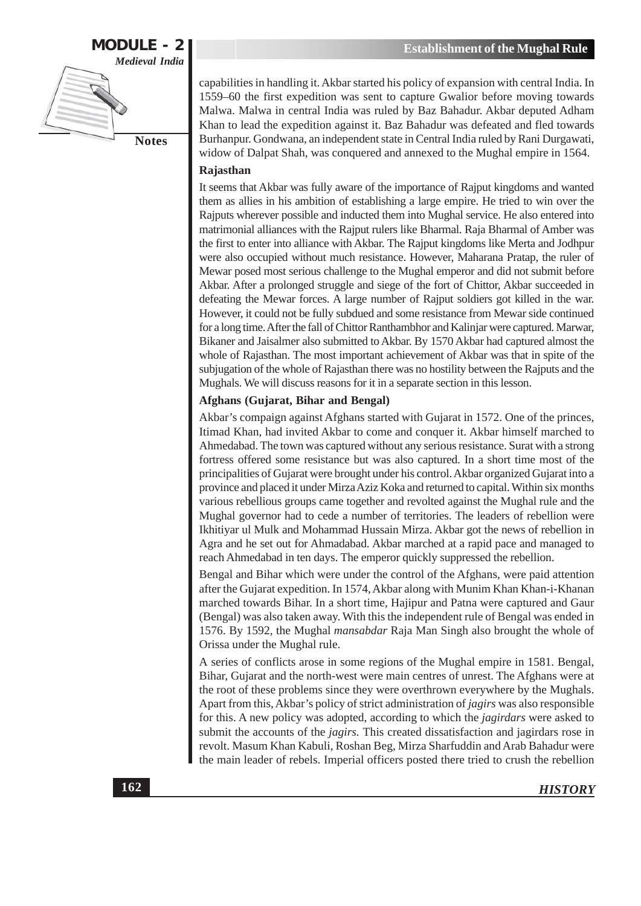

capabilities in handling it. Akbar started his policy of expansion with central India. In 1559–60 the first expedition was sent to capture Gwalior before moving towards Malwa. Malwa in central India was ruled by Baz Bahadur. Akbar deputed Adham Khan to lead the expedition against it. Baz Bahadur was defeated and fled towards Burhanpur. Gondwana, an independent state in Central India ruled by Rani Durgawati, widow of Dalpat Shah, was conquered and annexed to the Mughal empire in 1564.

#### Rajasthan

It seems that Akbar was fully aware of the importance of Rajput kingdoms and wanted them as allies in his ambition of establishing a large empire. He tried to win over the Rajputs wherever possible and inducted them into Mughal service. He also entered into matrimonial alliances with the Rajput rulers like Bharmal. Raja Bharmal of Amber was the first to enter into alliance with Akbar. The Rajput kingdoms like Merta and Jodhpur were also occupied without much resistance. However, Maharana Pratap, the ruler of Mewar posed most serious challenge to the Mughal emperor and did not submit before Akbar. After a prolonged struggle and siege of the fort of Chittor, Akbar succeeded in defeating the Mewar forces. A large number of Rajput soldiers got killed in the war. However, it could not be fully subdued and some resistance from Mewar side continued for a long time. After the fall of Chittor Ranthambhor and Kalinjar were captured. Marwar, Bikaner and Jaisalmer also submitted to Akbar. By 1570 Akbar had captured almost the whole of Rajasthan. The most important achievement of Akbar was that in spite of the subjugation of the whole of Rajasthan there was no hostility between the Rajputs and the Mughals. We will discuss reasons for it in a separate section in this lesson.

#### **Afghans (Gujarat, Bihar and Bengal)**

Akbar's compaign against Afghans started with Gujarat in 1572. One of the princes, Itimad Khan, had invited Akbar to come and conquer it. Akbar himself marched to Ahmedabad. The town was captured without any serious resistance. Surat with a strong fortress offered some resistance but was also captured. In a short time most of the principalities of Gujarat were brought under his control. Akbar organized Gujarat into a province and placed it under Mirza Aziz Koka and returned to capital. Within six months various rebellious groups came together and revolted against the Mughal rule and the Mughal governor had to cede a number of territories. The leaders of rebellion were Ikhitiyar ul Mulk and Mohammad Hussain Mirza. Akbar got the news of rebellion in Agra and he set out for Ahmadabad. Akbar marched at a rapid pace and managed to reach Ahmedabad in ten days. The emperor quickly suppressed the rebellion.

Bengal and Bihar which were under the control of the Afghans, were paid attention after the Gujarat expedition. In 1574, Akbar along with Munim Khan Khan-i-Khanan marched towards Bihar. In a short time, Hajipur and Patna were captured and Gaur (Bengal) was also taken away. With this the independent rule of Bengal was ended in 1576. By 1592, the Mughal *mansabdar* Raja Man Singh also brought the whole of Orissa under the Mughal rule.

A series of conflicts arose in some regions of the Mughal empire in 1581. Bengal, Bihar, Gujarat and the north-west were main centres of unrest. The Afghans were at the root of these problems since they were overthrown everywhere by the Mughals. Apart from this, Akbar's policy of strict administration of jagirs was also responsible for this. A new policy was adopted, according to which the *jagirdars* were asked to submit the accounts of the *jagirs*. This created dissatisfaction and jagirdars rose in revolt. Masum Khan Kabuli, Roshan Beg, Mirza Sharfuddin and Arab Bahadur were the main leader of rebels. Imperial officers posted there tried to crush the rebellion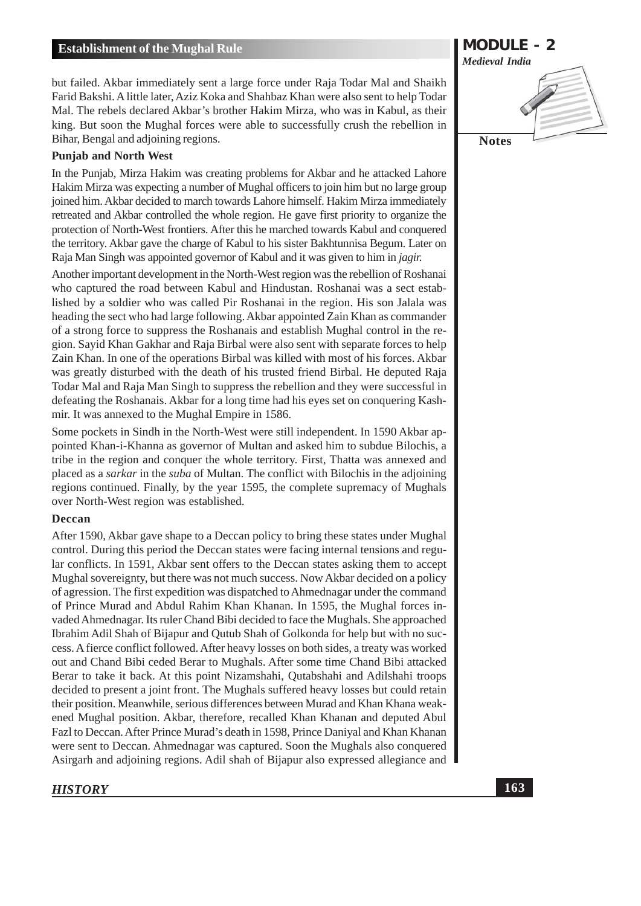but failed. Akbar immediately sent a large force under Raja Todar Mal and Shaikh Farid Bakshi. A little later, Aziz Koka and Shahbaz Khan were also sent to help Todar Mal. The rebels declared Akbar's brother Hakim Mirza, who was in Kabul, as their king. But soon the Mughal forces were able to successfully crush the rebellion in Bihar, Bengal and adjoining regions.

#### **Punjab and North West**

In the Punjab, Mirza Hakim was creating problems for Akbar and he attacked Lahore Hakim Mirza was expecting a number of Mughal officers to join him but no large group joined him. Akbar decided to march towards Lahore himself. Hakim Mirza immediately retreated and Akbar controlled the whole region. He gave first priority to organize the protection of North-West frontiers. After this he marched towards Kabul and conquered the territory. Akbar gave the charge of Kabul to his sister Bakhtunnisa Begum. Later on Raja Man Singh was appointed governor of Kabul and it was given to him in jagir.

Another important development in the North-West region was the rebellion of Roshanai who captured the road between Kabul and Hindustan. Roshanai was a sect established by a soldier who was called Pir Roshanai in the region. His son Jalala was heading the sect who had large following. Akbar appointed Zain Khan as commander of a strong force to suppress the Roshanais and establish Mughal control in the region. Sayid Khan Gakhar and Raja Birbal were also sent with separate forces to help Zain Khan. In one of the operations Birbal was killed with most of his forces. Akbar was greatly disturbed with the death of his trusted friend Birbal. He deputed Raja Todar Mal and Raja Man Singh to suppress the rebellion and they were successful in defeating the Roshanais. Akbar for a long time had his eyes set on conquering Kashmir. It was annexed to the Mughal Empire in 1586.

Some pockets in Sindh in the North-West were still independent. In 1590 Akbar appointed Khan-i-Khanna as governor of Multan and asked him to subdue Bilochis, a tribe in the region and conquer the whole territory. First, Thatta was annexed and placed as a *sarkar* in the *suba* of Multan. The conflict with Bilochis in the adjoining regions continued. Finally, by the year 1595, the complete supremacy of Mughals over North-West region was established.

#### **Deccan**

After 1590, Akbar gave shape to a Deccan policy to bring these states under Mughal control. During this period the Deccan states were facing internal tensions and regular conflicts. In 1591, Akbar sent offers to the Deccan states asking them to accept Mughal sovereignty, but there was not much success. Now Akbar decided on a policy of agression. The first expedition was dispatched to Ahmednagar under the command of Prince Murad and Abdul Rahim Khan Khanan. In 1595, the Mughal forces invaded Ahmednagar. Its ruler Chand Bibi decided to face the Mughals. She approached Ibrahim Adil Shah of Bijapur and Qutub Shah of Golkonda for help but with no success. A fierce conflict followed. After heavy losses on both sides, a treaty was worked out and Chand Bibi ceded Berar to Mughals. After some time Chand Bibi attacked Berar to take it back. At this point Nizamshahi, Qutabshahi and Adilshahi troops decided to present a joint front. The Mughals suffered heavy losses but could retain their position. Meanwhile, serious differences between Murad and Khan Khana weakened Mughal position. Akbar, therefore, recalled Khan Khanan and deputed Abul Fazl to Deccan. After Prince Murad's death in 1598, Prince Daniyal and Khan Khanan were sent to Deccan. Ahmednagar was captured. Soon the Mughals also conquered Asirgarh and adjoining regions. Adil shah of Bijapur also expressed allegiance and

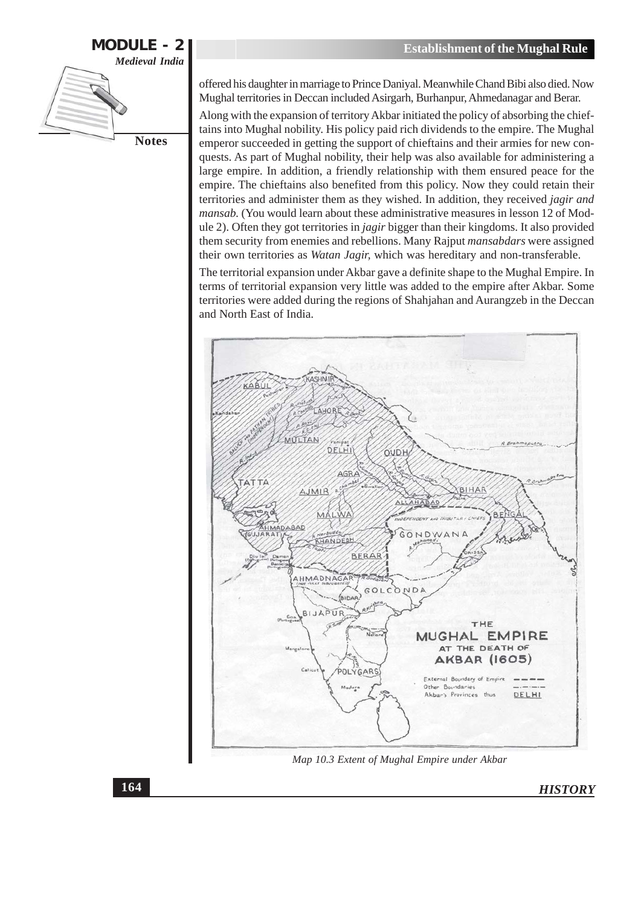

offered his daughter in marriage to Prince Daniyal. Meanwhile Chand Bibi also died. Now Mughal territories in Deccan included Asirgarh, Burhanpur, Ahmedanagar and Berar.

Along with the expansion of territory Akbar initiated the policy of absorbing the chieftains into Mughal nobility. His policy paid rich dividends to the empire. The Mughal emperor succeeded in getting the support of chieftains and their armies for new conquests. As part of Mughal nobility, their help was also available for administering a large empire. In addition, a friendly relationship with them ensured peace for the empire. The chieftains also benefited from this policy. Now they could retain their territories and administer them as they wished. In addition, they received *jagir and* mansab. (You would learn about these administrative measures in lesson 12 of Module 2). Often they got territories in jagir bigger than their kingdoms. It also provided them security from enemies and rebellions. Many Rajput mansabdars were assigned their own territories as Watan Jagir, which was hereditary and non-transferable.

The territorial expansion under Akbar gave a definite shape to the Mughal Empire. In terms of territorial expansion very little was added to the empire after Akbar. Some territories were added during the regions of Shahjahan and Aurangzeb in the Deccan and North East of India.



Map 10.3 Extent of Mughal Empire under Akbar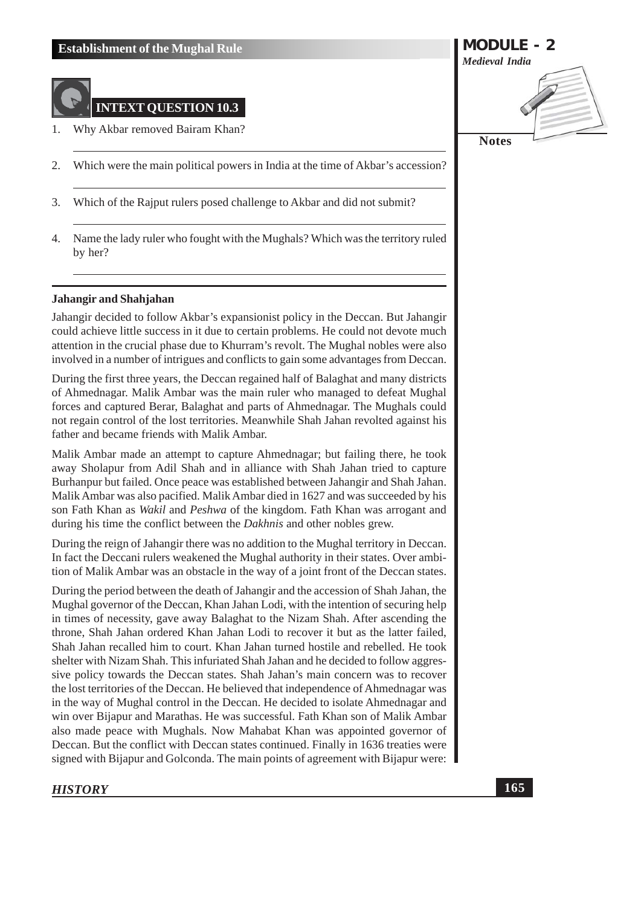

- 1. Why Akbar removed Bairam Khan?
- 2. Which were the main political powers in India at the time of Akbar's accession?
- Which of the Rajput rulers posed challenge to Akbar and did not submit? 3.
- Name the lady ruler who fought with the Mughals? Which was the territory ruled 4. by her?

#### **Jahangir and Shahjahan**

Jahangir decided to follow Akbar's expansionist policy in the Deccan. But Jahangir could achieve little success in it due to certain problems. He could not devote much attention in the crucial phase due to Khurram's revolt. The Mughal nobles were also involved in a number of intrigues and conflicts to gain some advantages from Deccan.

During the first three years, the Deccan regained half of Balaghat and many districts of Ahmednagar. Malik Ambar was the main ruler who managed to defeat Mughal forces and captured Berar, Balaghat and parts of Ahmednagar. The Mughals could not regain control of the lost territories. Meanwhile Shah Jahan revolted against his father and became friends with Malik Ambar.

Malik Ambar made an attempt to capture Ahmednagar; but failing there, he took away Sholapur from Adil Shah and in alliance with Shah Jahan tried to capture Burhanpur but failed. Once peace was established between Jahangir and Shah Jahan. Malik Ambar was also pacified. Malik Ambar died in 1627 and was succeeded by his son Fath Khan as *Wakil* and *Peshwa* of the kingdom. Fath Khan was arrogant and during his time the conflict between the *Dakhnis* and other nobles grew.

During the reign of Jahangir there was no addition to the Mughal territory in Deccan. In fact the Deccani rulers weakened the Mughal authority in their states. Over ambition of Malik Ambar was an obstacle in the way of a joint front of the Deccan states.

During the period between the death of Jahangir and the accession of Shah Jahan, the Mughal governor of the Deccan, Khan Jahan Lodi, with the intention of securing help in times of necessity, gave away Balaghat to the Nizam Shah. After ascending the throne, Shah Jahan ordered Khan Jahan Lodi to recover it but as the latter failed, Shah Jahan recalled him to court. Khan Jahan turned hostile and rebelled. He took shelter with Nizam Shah. This infuriated Shah Jahan and he decided to follow aggressive policy towards the Deccan states. Shah Jahan's main concern was to recover the lost territories of the Deccan. He believed that independence of Ahmednagar was in the way of Mughal control in the Deccan. He decided to isolate Ahmednagar and win over Bijapur and Marathas. He was successful. Fath Khan son of Malik Ambar also made peace with Mughals. Now Mahabat Khan was appointed governor of Deccan. But the conflict with Deccan states continued. Finally in 1636 treaties were signed with Bijapur and Golconda. The main points of agreement with Bijapur were:

#### **HISTORY**

# **MODULE - 2 Medieval India Notes**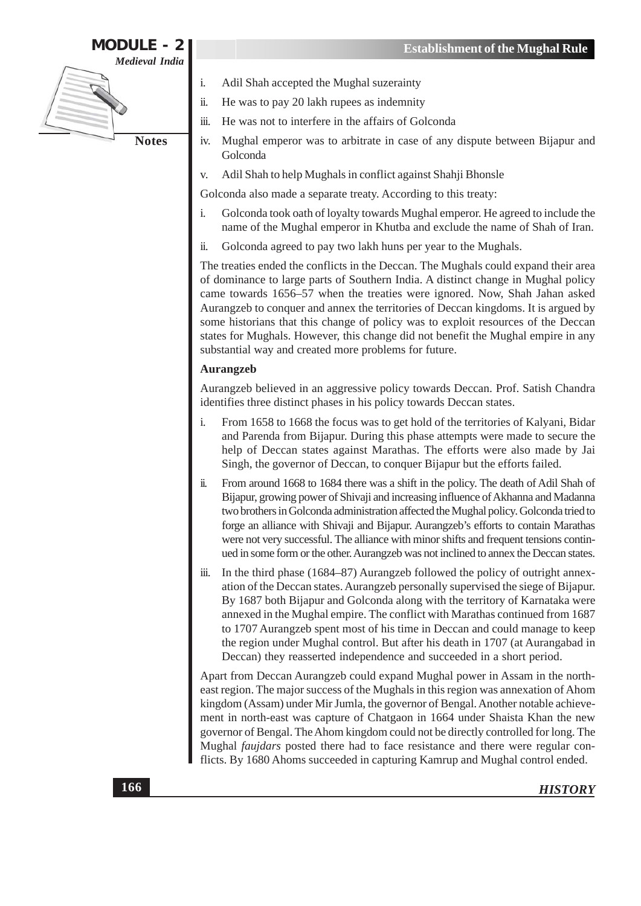

- Adil Shah accepted the Mughal suzerainty
- He was to pay 20 lakh rupees as indemnity
- He was not to interfere in the affairs of Golconda iii.
- Mughal emperor was to arbitrate in case of any dispute between Bijapur and iv. Golconda
- Adil Shah to help Mughals in conflict against Shahii Bhonsle  $V_{\cdot}$

Golconda also made a separate treaty. According to this treaty:

- i. Golconda took oath of loyalty towards Mughal emperor. He agreed to include the name of the Mughal emperor in Khutba and exclude the name of Shah of Iran.
- Golconda agreed to pay two lakh huns per year to the Mughals. ii.

The treaties ended the conflicts in the Deccan. The Mughals could expand their area of dominance to large parts of Southern India. A distinct change in Mughal policy came towards 1656-57 when the treaties were ignored. Now, Shah Jahan asked Aurangzeb to conquer and annex the territories of Deccan kingdoms. It is argued by some historians that this change of policy was to exploit resources of the Deccan states for Mughals. However, this change did not benefit the Mughal empire in any substantial way and created more problems for future.

#### **Aurangzeb**

Aurangzeb believed in an aggressive policy towards Deccan. Prof. Satish Chandra identifies three distinct phases in his policy towards Deccan states.

- $\mathbf{i}$ . From 1658 to 1668 the focus was to get hold of the territories of Kalyani, Bidar and Parenda from Bijapur. During this phase attempts were made to secure the help of Deccan states against Marathas. The efforts were also made by Jai Singh, the governor of Deccan, to conquer Bijapur but the efforts failed.
- $\dddot{\mathbf{n}}$ . From around 1668 to 1684 there was a shift in the policy. The death of Adil Shah of Bijapur, growing power of Shivaji and increasing influence of Akhanna and Madanna two brothers in Golconda administration affected the Mughal policy. Golconda tried to forge an alliance with Shivaji and Bijapur. Aurangzeb's efforts to contain Marathas were not very successful. The alliance with minor shifts and frequent tensions continued in some form or the other. Aurangzeb was not inclined to annex the Deccan states.
- In the third phase (1684–87) Aurangzeb followed the policy of outright annex- $\dddot{\mathbf{m}}$ . ation of the Deccan states. Aurangzeb personally supervised the siege of Bijapur. By 1687 both Bijapur and Golconda along with the territory of Karnataka were annexed in the Mughal empire. The conflict with Marathas continued from 1687 to 1707 Aurangzeb spent most of his time in Deccan and could manage to keep the region under Mughal control. But after his death in 1707 (at Aurangabad in Deccan) they reasserted independence and succeeded in a short period.

Apart from Deccan Aurangzeb could expand Mughal power in Assam in the northeast region. The major success of the Mughals in this region was annexation of Ahom kingdom (Assam) under Mir Jumla, the governor of Bengal. Another notable achievement in north-east was capture of Chatgaon in 1664 under Shaista Khan the new governor of Bengal. The Ahom kingdom could not be directly controlled for long. The Mughal faujdars posted there had to face resistance and there were regular conflicts. By 1680 Ahoms succeeded in capturing Kamrup and Mughal control ended.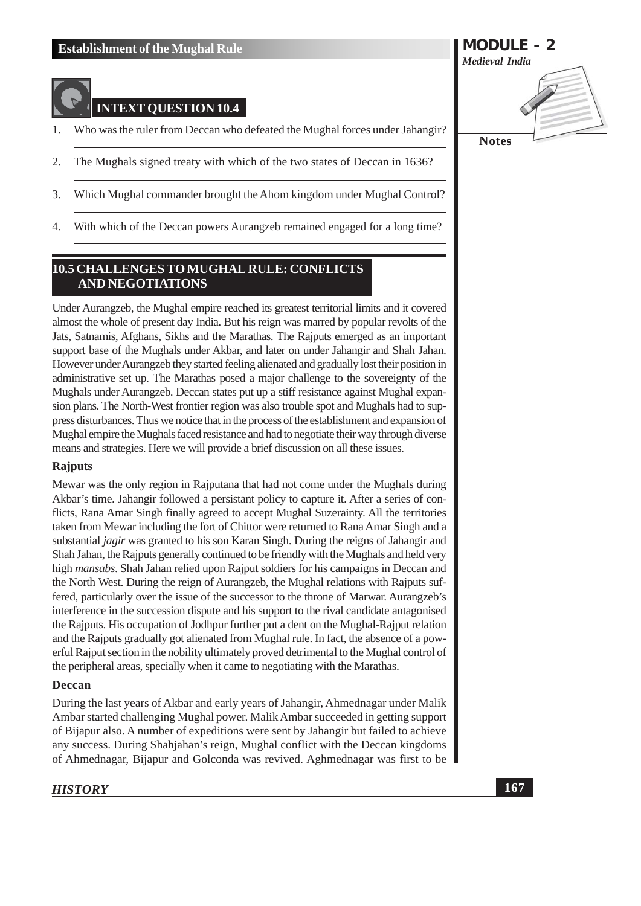# **INTEXT QUESTION 10.4**

- Who was the ruler from Deccan who defeated the Mughal forces under Jahangir? 1.
- The Mughals signed treaty with which of the two states of Deccan in 1636? 2.
- 3. Which Mughal commander brought the Ahom kingdom under Mughal Control?
- With which of the Deccan powers Aurangzeb remained engaged for a long time?  $4.$

#### 10.5 CHALLENGES TO MUGHAL RULE: CONFLICTS **AND NEGOTIATIONS**

Under Aurangzeb, the Mughal empire reached its greatest territorial limits and it covered almost the whole of present day India. But his reign was marred by popular revolts of the Jats, Satnamis, Afghans, Sikhs and the Marathas. The Rajputs emerged as an important support base of the Mughals under Akbar, and later on under Jahangir and Shah Jahan. However under Aurangzeb they started feeling alienated and gradually lost their position in administrative set up. The Marathas posed a major challenge to the sovereignty of the Mughals under Aurangzeb. Deccan states put up a stiff resistance against Mughal expansion plans. The North-West frontier region was also trouble spot and Mughals had to suppress disturbances. Thus we notice that in the process of the establishment and expansion of Mughal empire the Mughals faced resistance and had to negotiate their way through diverse means and strategies. Here we will provide a brief discussion on all these issues.

#### **Rajputs**

Mewar was the only region in Rajputana that had not come under the Mughals during Akbar's time. Jahangir followed a persistant policy to capture it. After a series of conflicts, Rana Amar Singh finally agreed to accept Mughal Suzerainty. All the territories taken from Mewar including the fort of Chittor were returned to Rana Amar Singh and a substantial jagir was granted to his son Karan Singh. During the reigns of Jahangir and Shah Jahan, the Rajputs generally continued to be friendly with the Mughals and held very high mansabs. Shah Jahan relied upon Rajput soldiers for his campaigns in Deccan and the North West. During the reign of Aurangzeb, the Mughal relations with Rajputs suffered, particularly over the issue of the successor to the throne of Marwar. Aurangzeb's interference in the succession dispute and his support to the rival candidate antagonised the Rajputs. His occupation of Jodhpur further put a dent on the Mughal-Rajput relation and the Rajputs gradually got alienated from Mughal rule. In fact, the absence of a powerful Rajput section in the nobility ultimately proved detrimental to the Mughal control of the peripheral areas, specially when it came to negotiating with the Marathas.

#### Deccan

During the last years of Akbar and early years of Jahangir, Ahmednagar under Malik Ambar started challenging Mughal power. Malik Ambar succeeded in getting support of Bijapur also. A number of expeditions were sent by Jahangir but failed to achieve any success. During Shahjahan's reign, Mughal conflict with the Deccan kingdoms of Ahmednagar, Bijapur and Golconda was revived. Aghmednagar was first to be

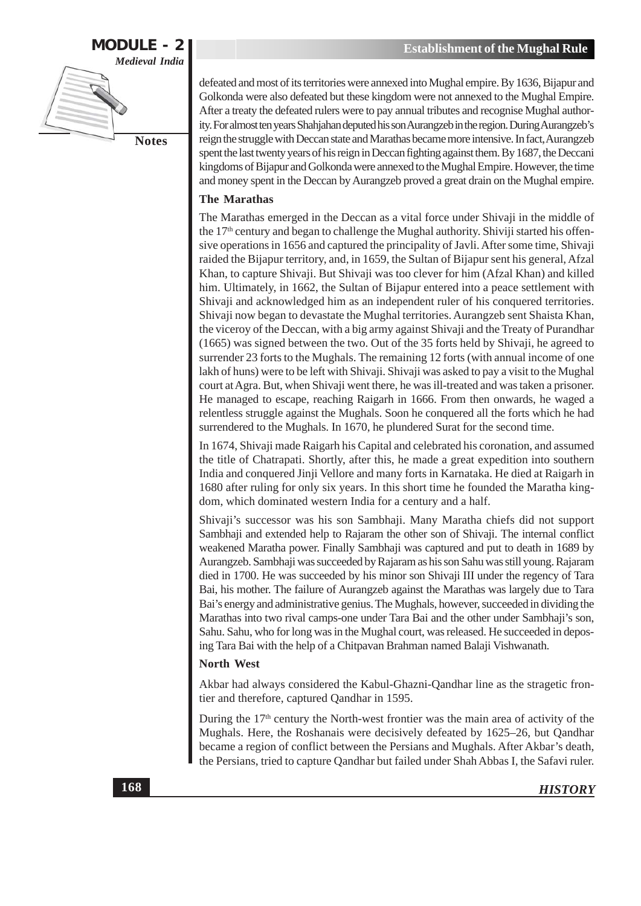

defeated and most of its territories were annexed into Mughal empire. By 1636, Bijapur and Golkonda were also defeated but these kingdom were not annexed to the Mughal Empire. After a treaty the defeated rulers were to pay annual tributes and recognise Mughal authority. For almost ten years Shahjahan deputed his son Aurangzeb in the region. During Aurangzeb's reign the struggle with Deccan state and Marathas became more intensive. In fact, Aurangzeb spent the last twenty years of his reign in Deccan fighting against them. By 1687, the Deccani kingdoms of Bijapur and Golkonda were annexed to the Mughal Empire. However, the time and money spent in the Deccan by Aurangzeb proved a great drain on the Mughal empire.

#### **The Marathas**

The Marathas emerged in the Deccan as a vital force under Shivaji in the middle of the  $17<sup>th</sup>$  century and began to challenge the Mughal authority. Shiviji started his offensive operations in 1656 and captured the principality of Javli. After some time, Shivaji raided the Bijapur territory, and, in 1659, the Sultan of Bijapur sent his general, Afzal Khan, to capture Shivaji. But Shivaji was too clever for him (Afzal Khan) and killed him. Ultimately, in 1662, the Sultan of Bijapur entered into a peace settlement with Shivaji and acknowledged him as an independent ruler of his conquered territories. Shivaji now began to devastate the Mughal territories. Aurangzeb sent Shaista Khan, the viceroy of the Deccan, with a big army against Shivaji and the Treaty of Purandhar (1665) was signed between the two. Out of the 35 forts held by Shivaji, he agreed to surrender 23 forts to the Mughals. The remaining 12 forts (with annual income of one lakh of huns) were to be left with Shivaji. Shivaji was asked to pay a visit to the Mughal court at Agra. But, when Shivaji went there, he was ill-treated and was taken a prisoner. He managed to escape, reaching Raigarh in 1666. From then onwards, he waged a relentless struggle against the Mughals. Soon he conquered all the forts which he had surrendered to the Mughals. In 1670, he plundered Surat for the second time.

In 1674, Shivaji made Raigarh his Capital and celebrated his coronation, and assumed the title of Chatrapati. Shortly, after this, he made a great expedition into southern India and conquered Jinji Vellore and many forts in Karnataka. He died at Raigarh in 1680 after ruling for only six years. In this short time he founded the Maratha kingdom, which dominated western India for a century and a half.

Shivaji's successor was his son Sambhaji. Many Maratha chiefs did not support Sambhaji and extended help to Rajaram the other son of Shivaji. The internal conflict weakened Maratha power. Finally Sambhaji was captured and put to death in 1689 by Aurangzeb. Sambhaji was succeeded by Rajaram as his son Sahu was still young. Rajaram died in 1700. He was succeeded by his minor son Shivaji III under the regency of Tara Bai, his mother. The failure of Aurangzeb against the Marathas was largely due to Tara Bai's energy and administrative genius. The Mughals, however, succeeded in dividing the Marathas into two rival camps-one under Tara Bai and the other under Sambhaji's son, Sahu. Sahu, who for long was in the Mughal court, was released. He succeeded in deposing Tara Bai with the help of a Chitpavan Brahman named Balaji Vishwanath.

#### **North West**

Akbar had always considered the Kabul-Ghazni-Qandhar line as the stragetic frontier and therefore, captured Qandhar in 1595.

During the 17<sup>th</sup> century the North-west frontier was the main area of activity of the Mughals. Here, the Roshanais were decisively defeated by 1625-26, but Qandhar became a region of conflict between the Persians and Mughals. After Akbar's death, the Persians, tried to capture Qandhar but failed under Shah Abbas I, the Safavi ruler.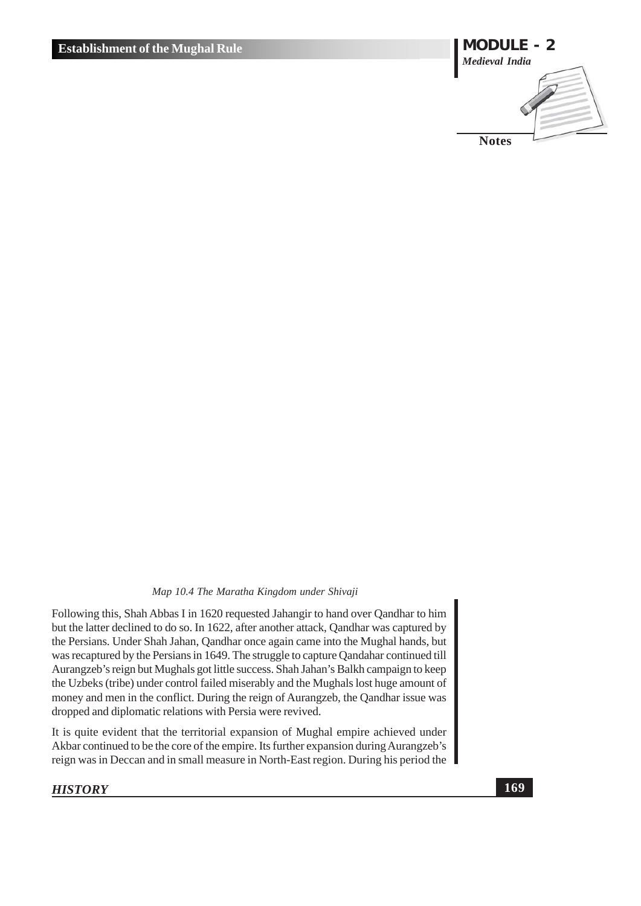

#### Map 10.4 The Maratha Kingdom under Shivaji

Following this, Shah Abbas I in 1620 requested Jahangir to hand over Qandhar to him but the latter declined to do so. In 1622, after another attack, Qandhar was captured by the Persians. Under Shah Jahan, Qandhar once again came into the Mughal hands, but was recaptured by the Persians in 1649. The struggle to capture Qandahar continued till Aurangzeb's reign but Mughals got little success. Shah Jahan's Balkh campaign to keep the Uzbeks (tribe) under control failed miserably and the Mughals lost huge amount of money and men in the conflict. During the reign of Aurangzeb, the Qandhar issue was dropped and diplomatic relations with Persia were revived.

It is quite evident that the territorial expansion of Mughal empire achieved under Akbar continued to be the core of the empire. Its further expansion during Aurangzeb's reign was in Deccan and in small measure in North-East region. During his period the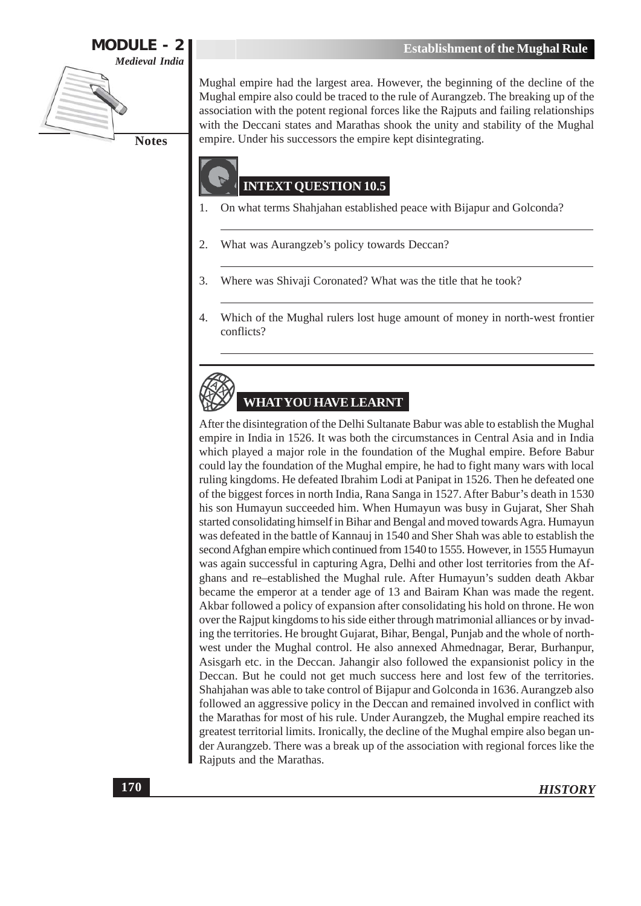

Mughal empire had the largest area. However, the beginning of the decline of the Mughal empire also could be traced to the rule of Aurangzeb. The breaking up of the association with the potent regional forces like the Rajputs and failing relationships with the Deccani states and Marathas shook the unity and stability of the Mughal empire. Under his successors the empire kept disintegrating.

# **INTEXT QUESTION 10.5**

- On what terms Shahjahan established peace with Bijapur and Golconda? 1.
- 2. What was Aurangzeb's policy towards Deccan?
- Where was Shivaji Coronated? What was the title that he took? 3.
- $\overline{4}$ . Which of the Mughal rulers lost huge amount of money in north-west frontier conflicts?

# **WHAT YOU HAVE LEARNT**

After the disintegration of the Delhi Sultanate Babur was able to establish the Mughal empire in India in 1526. It was both the circumstances in Central Asia and in India which played a major role in the foundation of the Mughal empire. Before Babur could lay the foundation of the Mughal empire, he had to fight many wars with local ruling kingdoms. He defeated Ibrahim Lodi at Panipat in 1526. Then he defeated one of the biggest forces in north India, Rana Sanga in 1527. After Babur's death in 1530 his son Humayun succeeded him. When Humayun was busy in Gujarat, Sher Shah started consolidating himself in Bihar and Bengal and moved towards Agra. Humayun was defeated in the battle of Kannauj in 1540 and Sher Shah was able to establish the second Afghan empire which continued from 1540 to 1555. However, in 1555 Humayun was again successful in capturing Agra, Delhi and other lost territories from the Afghans and re-established the Mughal rule. After Humayun's sudden death Akbar became the emperor at a tender age of 13 and Bairam Khan was made the regent. Akbar followed a policy of expansion after consolidating his hold on throne. He won over the Rajput kingdoms to his side either through matrimonial alliances or by invading the territories. He brought Gujarat, Bihar, Bengal, Punjab and the whole of northwest under the Mughal control. He also annexed Ahmednagar, Berar, Burhanpur, Asisgarh etc. in the Deccan. Jahangir also followed the expansionist policy in the Deccan. But he could not get much success here and lost few of the territories. Shahjahan was able to take control of Bijapur and Golconda in 1636. Aurangzeb also followed an aggressive policy in the Deccan and remained involved in conflict with the Marathas for most of his rule. Under Aurangzeb, the Mughal empire reached its greatest territorial limits. Ironically, the decline of the Mughal empire also began under Aurangzeb. There was a break up of the association with regional forces like the Rajputs and the Marathas.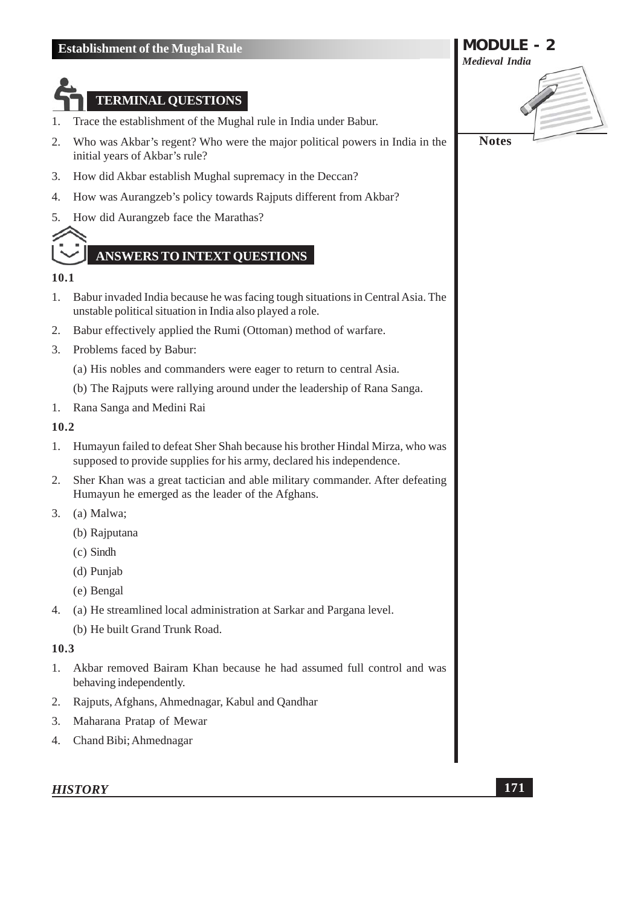# **TERMINAL QUESTIONS**

- Trace the establishment of the Mughal rule in India under Babur. 1.
- $\overline{2}$ . Who was Akbar's regent? Who were the major political powers in India in the initial years of Akbar's rule?
- 3. How did Akbar establish Mughal supremacy in the Deccan?
- How was Aurangzeb's policy towards Rajputs different from Akbar?  $4.$
- How did Aurangzeb face the Marathas? 5.



# **ANSWERS TO INTEXT OUESTIONS**

#### 10.1

- Babur invaded India because he was facing tough situations in Central Asia. The  $\mathbf{1}$ . unstable political situation in India also played a role.
- $2.$ Babur effectively applied the Rumi (Ottoman) method of warfare.
- 3. Problems faced by Babur:
	- (a) His nobles and commanders were eager to return to central Asia.
	- (b) The Rajputs were rallying around under the leadership of Rana Sanga.
- 1. Rana Sanga and Medini Rai

#### 10.2

- 1. Humayun failed to defeat Sher Shah because his brother Hindal Mirza, who was supposed to provide supplies for his army, declared his independence.
- $2.$ Sher Khan was a great tactician and able military commander. After defeating Humayun he emerged as the leader of the Afghans.
- 3. (a) Malwa;
	- (b) Rajputana
	- $(c)$  Sindh
	- (d) Punjab
	- (e) Bengal
- 4. (a) He streamlined local administration at Sarkar and Pargana level.
	- (b) He built Grand Trunk Road.

#### 10.3

- Akbar removed Bairam Khan because he had assumed full control and was  $1.$ behaving independently.
- 2. Rajputs, Afghans, Ahmednagar, Kabul and Qandhar
- 3. Maharana Pratap of Mewar
- 4. Chand Bibi; Ahmednagar

#### **HISTORY**

**MODULE - 2 Medieval India Notes**